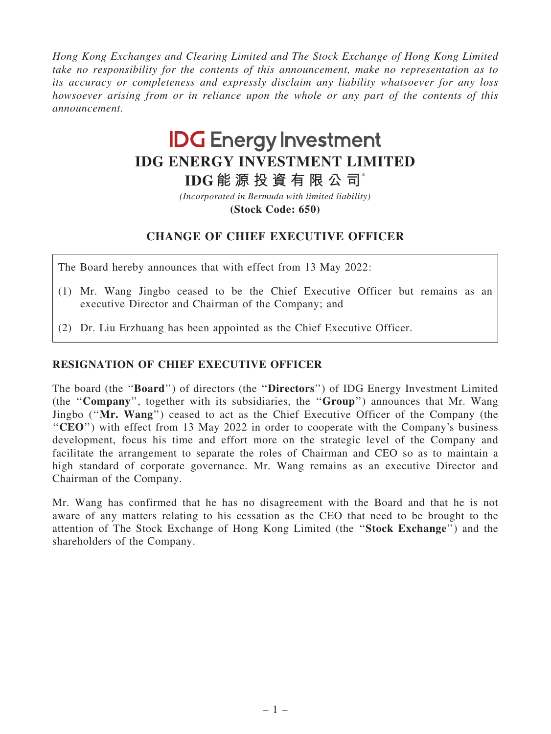Hong Kong Exchanges and Clearing Limited and The Stock Exchange of Hong Kong Limited take no responsibility for the contents of this announcement, make no representation as to its accuracy or completeness and expressly disclaim any liability whatsoever for any loss howsoever arising from or in reliance upon the whole or any part of the contents of this announcement.

## **IDG Energy Investment IDG ENERGY INVESTMENT LIMITED**

**IDG 能 源 投 資 有 限 公 司**\*

**(Stock Code: 650)** *(Incorporated in Bermuda with limited liability)*

## CHANGE OF CHIEF EXECUTIVE OFFICER

The Board hereby announces that with effect from 13 May 2022:

- (1) Mr. Wang Jingbo ceased to be the Chief Executive Officer but remains as an executive Director and Chairman of the Company; and
- (2) Dr. Liu Erzhuang has been appointed as the Chief Executive Officer.

## RESIGNATION OF CHIEF EXECUTIVE OFFICER

The board (the ''Board'') of directors (the ''Directors'') of IDG Energy Investment Limited (the ''Company'', together with its subsidiaries, the ''Group'') announces that Mr. Wang Jingbo (''Mr. Wang'') ceased to act as the Chief Executive Officer of the Company (the "CEO") with effect from 13 May 2022 in order to cooperate with the Company's business development, focus his time and effort more on the strategic level of the Company and facilitate the arrangement to separate the roles of Chairman and CEO so as to maintain a high standard of corporate governance. Mr. Wang remains as an executive Director and Chairman of the Company.

Mr. Wang has confirmed that he has no disagreement with the Board and that he is not aware of any matters relating to his cessation as the CEO that need to be brought to the attention of The Stock Exchange of Hong Kong Limited (the ''Stock Exchange'') and the shareholders of the Company.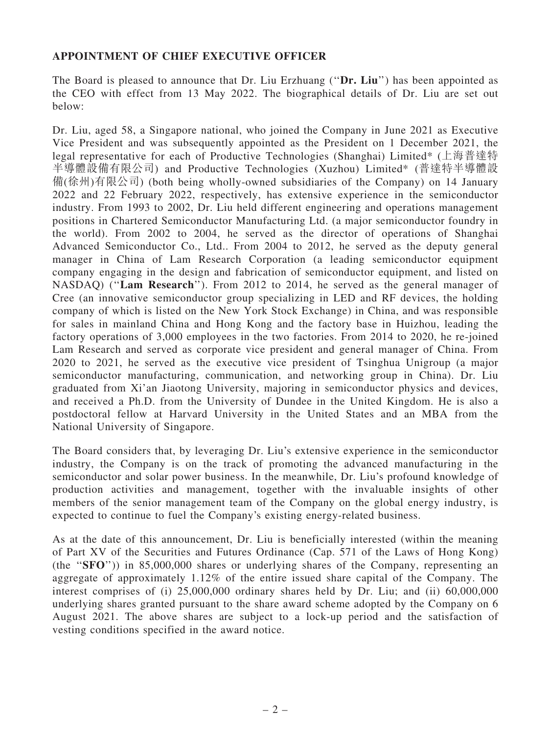## APPOINTMENT OF CHIEF EXECUTIVE OFFICER

The Board is pleased to announce that Dr. Liu Erzhuang ("Dr. Liu") has been appointed as the CEO with effect from 13 May 2022. The biographical details of Dr. Liu are set out below:

Dr. Liu, aged 58, a Singapore national, who joined the Company in June 2021 as Executive Vice President and was subsequently appointed as the President on 1 December 2021, the legal representative for each of Productive Technologies (Shanghai) Limited\* (上海普達特 半導體設備有限公司) and Productive Technologies (Xuzhou) Limited\* (普達特半導體設 備(徐州)有限公司) (both being wholly-owned subsidiaries of the Company) on 14 January 2022 and 22 February 2022, respectively, has extensive experience in the semiconductor industry. From 1993 to 2002, Dr. Liu held different engineering and operations management positions in Chartered Semiconductor Manufacturing Ltd. (a major semiconductor foundry in the world). From 2002 to 2004, he served as the director of operations of Shanghai Advanced Semiconductor Co., Ltd.. From 2004 to 2012, he served as the deputy general manager in China of Lam Research Corporation (a leading semiconductor equipment company engaging in the design and fabrication of semiconductor equipment, and listed on NASDAQ) (''Lam Research''). From 2012 to 2014, he served as the general manager of Cree (an innovative semiconductor group specializing in LED and RF devices, the holding company of which is listed on the New York Stock Exchange) in China, and was responsible for sales in mainland China and Hong Kong and the factory base in Huizhou, leading the factory operations of 3,000 employees in the two factories. From 2014 to 2020, he re-joined Lam Research and served as corporate vice president and general manager of China. From 2020 to 2021, he served as the executive vice president of Tsinghua Unigroup (a major semiconductor manufacturing, communication, and networking group in China). Dr. Liu graduated from Xi'an Jiaotong University, majoring in semiconductor physics and devices, and received a Ph.D. from the University of Dundee in the United Kingdom. He is also a postdoctoral fellow at Harvard University in the United States and an MBA from the National University of Singapore.

The Board considers that, by leveraging Dr. Liu's extensive experience in the semiconductor industry, the Company is on the track of promoting the advanced manufacturing in the semiconductor and solar power business. In the meanwhile, Dr. Liu's profound knowledge of production activities and management, together with the invaluable insights of other members of the senior management team of the Company on the global energy industry, is expected to continue to fuel the Company's existing energy-related business.

As at the date of this announcement, Dr. Liu is beneficially interested (within the meaning of Part XV of the Securities and Futures Ordinance (Cap. 571 of the Laws of Hong Kong) (the "SFO")) in 85,000,000 shares or underlying shares of the Company, representing an aggregate of approximately 1.12% of the entire issued share capital of the Company. The interest comprises of (i) 25,000,000 ordinary shares held by Dr. Liu; and (ii) 60,000,000 underlying shares granted pursuant to the share award scheme adopted by the Company on 6 August 2021. The above shares are subject to a lock-up period and the satisfaction of vesting conditions specified in the award notice.